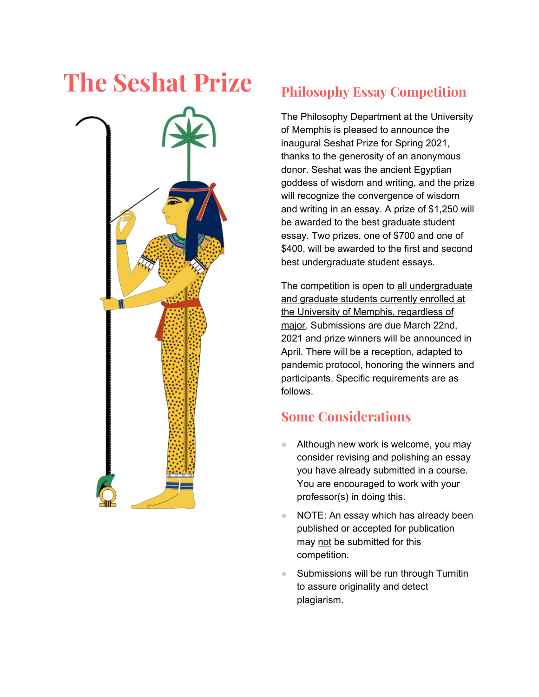# **The Seshat Prize Philosophy Essay Competition**



The Philosophy Department at the University of Memphis is pleased to announce the inaugural Seshat Prize for Spring 2021, thanks to the generosity of an anonymous donor. Seshat was the ancient Egyptian goddess of wisdom and writing, and the prize will recognize the convergence of wisdom and writing in an essay. A prize of \$1,250 will be awarded to the best graduate student essay. Two prizes, one of \$700 and one of \$400, will be awarded to the first and second best undergraduate student essays.

The competition is open to all undergraduate and graduate students currently enrolled at the University of Memphis, regardless of major. Submissions are due March 22nd, 2021 and prize winners will be announced in April. There will be a reception, adapted to pandemic protocol, honoring the winners and participants. Specific requirements are as follows.

## **Some Considerations**

- Although new work is welcome, you may consider revising and polishing an essay you have already submitted in a course. You are encouraged to work with your professor(s) in doing this.
- NOTE: An essay which has already been published or accepted for publication may not be submitted for this competition.
- Submissions will be run through Turnitin to assure originality and detect plagiarism.